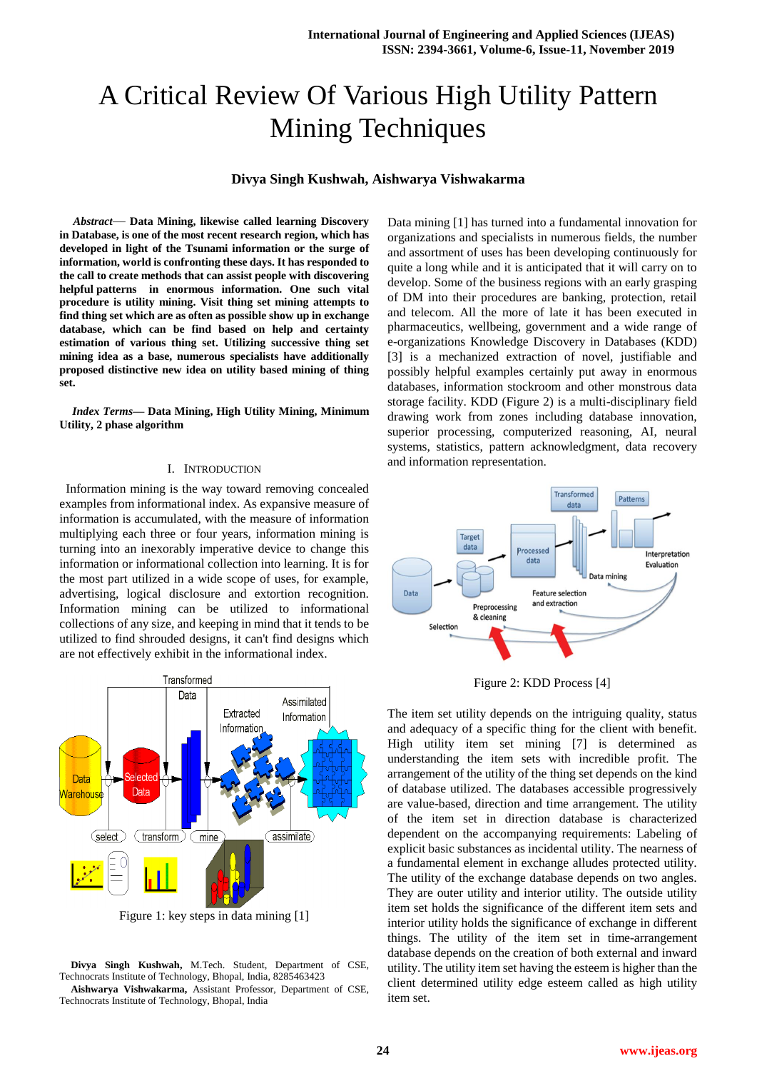# A Critical Review Of Various High Utility Pattern Mining Techniques

#### **Divya Singh Kushwah, Aishwarya Vishwakarma**

*Abstract*— **Data Mining, likewise called learning Discovery in Database, is one of the most recent research region, which has developed in light of the Tsunami information or the surge of information, world is confronting these days. It has responded to the call to create methods that can assist people with discovering helpful patterns in enormous information. One such vital procedure is utility mining. Visit thing set mining attempts to find thing set which are as often as possible show up in exchange database, which can be find based on help and certainty estimation of various thing set. Utilizing successive thing set mining idea as a base, numerous specialists have additionally proposed distinctive new idea on utility based mining of thing set.**

*Index Terms***— Data Mining, High Utility Mining, Minimum Utility, 2 phase algorithm**

#### I. INTRODUCTION

 Information mining is the way toward removing concealed examples from informational index. As expansive measure of information is accumulated, with the measure of information multiplying each three or four years, information mining is turning into an inexorably imperative device to change this information or informational collection into learning. It is for the most part utilized in a wide scope of uses, for example, advertising, logical disclosure and extortion recognition. Information mining can be utilized to informational collections of any size, and keeping in mind that it tends to be utilized to find shrouded designs, it can't find designs which are not effectively exhibit in the informational index.



Figure 1: key steps in data mining [1]

**Divya Singh Kushwah,** M.Tech. Student, Department of CSE, Technocrats Institute of Technology, Bhopal, India, 8285463423 **Aishwarya Vishwakarma,** Assistant Professor, Department of CSE,

Technocrats Institute of Technology, Bhopal, India

Data mining [1] has turned into a fundamental innovation for organizations and specialists in numerous fields, the number and assortment of uses has been developing continuously for quite a long while and it is anticipated that it will carry on to develop. Some of the business regions with an early grasping of DM into their procedures are banking, protection, retail and telecom. All the more of late it has been executed in pharmaceutics, wellbeing, government and a wide range of e-organizations Knowledge Discovery in Databases (KDD) [3] is a mechanized extraction of novel, justifiable and possibly helpful examples certainly put away in enormous databases, information stockroom and other monstrous data storage facility. KDD (Figure 2) is a multi-disciplinary field drawing work from zones including database innovation, superior processing, computerized reasoning, AI, neural systems, statistics, pattern acknowledgment, data recovery and information representation.



Figure 2: KDD Process [4]

The item set utility depends on the intriguing quality, status and adequacy of a specific thing for the client with benefit. High utility item set mining [7] is determined as understanding the item sets with incredible profit. The arrangement of the utility of the thing set depends on the kind of database utilized. The databases accessible progressively are value-based, direction and time arrangement. The utility of the item set in direction database is characterized dependent on the accompanying requirements: Labeling of explicit basic substances as incidental utility. The nearness of a fundamental element in exchange alludes protected utility. The utility of the exchange database depends on two angles. They are outer utility and interior utility. The outside utility item set holds the significance of the different item sets and interior utility holds the significance of exchange in different things. The utility of the item set in time-arrangement database depends on the creation of both external and inward utility. The utility item set having the esteem is higher than the client determined utility edge esteem called as high utility item set.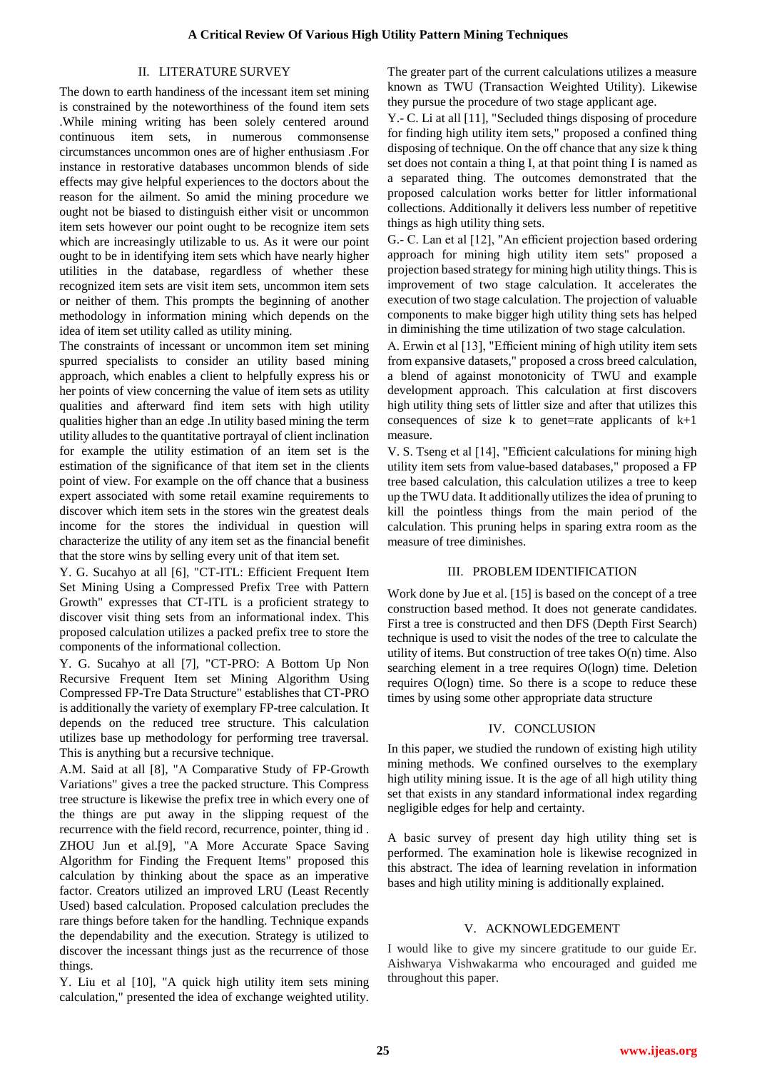## II. LITERATURE SURVEY

The down to earth handiness of the incessant item set mining is constrained by the noteworthiness of the found item sets .While mining writing has been solely centered around continuous item sets, in numerous commonsense circumstances uncommon ones are of higher enthusiasm .For instance in restorative databases uncommon blends of side effects may give helpful experiences to the doctors about the reason for the ailment. So amid the mining procedure we ought not be biased to distinguish either visit or uncommon item sets however our point ought to be recognize item sets which are increasingly utilizable to us. As it were our point ought to be in identifying item sets which have nearly higher utilities in the database, regardless of whether these recognized item sets are visit item sets, uncommon item sets or neither of them. This prompts the beginning of another methodology in information mining which depends on the idea of item set utility called as utility mining.

The constraints of incessant or uncommon item set mining spurred specialists to consider an utility based mining approach, which enables a client to helpfully express his or her points of view concerning the value of item sets as utility qualities and afterward find item sets with high utility qualities higher than an edge .In utility based mining the term utility alludes to the quantitative portrayal of client inclination for example the utility estimation of an item set is the estimation of the significance of that item set in the clients point of view. For example on the off chance that a business expert associated with some retail examine requirements to discover which item sets in the stores win the greatest deals income for the stores the individual in question will characterize the utility of any item set as the financial benefit that the store wins by selling every unit of that item set.

Y. G. Sucahyo at all [6], "CT-ITL: Efficient Frequent Item Set Mining Using a Compressed Prefix Tree with Pattern Growth" expresses that CT-ITL is a proficient strategy to discover visit thing sets from an informational index. This proposed calculation utilizes a packed prefix tree to store the components of the informational collection.

Y. G. Sucahyo at all [7], "CT-PRO: A Bottom Up Non Recursive Frequent Item set Mining Algorithm Using Compressed FP-Tre Data Structure" establishes that CT-PRO is additionally the variety of exemplary FP-tree calculation. It depends on the reduced tree structure. This calculation utilizes base up methodology for performing tree traversal. This is anything but a recursive technique.

A.M. Said at all [8], "A Comparative Study of FP-Growth Variations" gives a tree the packed structure. This Compress tree structure is likewise the prefix tree in which every one of the things are put away in the slipping request of the recurrence with the field record, recurrence, pointer, thing id . ZHOU Jun et al.[9], "A More Accurate Space Saving Algorithm for Finding the Frequent Items" proposed this calculation by thinking about the space as an imperative factor. Creators utilized an improved LRU (Least Recently Used) based calculation. Proposed calculation precludes the rare things before taken for the handling. Technique expands the dependability and the execution. Strategy is utilized to discover the incessant things just as the recurrence of those things.

Y. Liu et al [10], "A quick high utility item sets mining calculation," presented the idea of exchange weighted utility. The greater part of the current calculations utilizes a measure known as TWU (Transaction Weighted Utility). Likewise they pursue the procedure of two stage applicant age.

Y.- C. Li at all [11], "Secluded things disposing of procedure for finding high utility item sets," proposed a confined thing disposing of technique. On the off chance that any size k thing set does not contain a thing I, at that point thing I is named as a separated thing. The outcomes demonstrated that the proposed calculation works better for littler informational collections. Additionally it delivers less number of repetitive things as high utility thing sets.

G.- C. Lan et al [12], "An efficient projection based ordering approach for mining high utility item sets" proposed a projection based strategy for mining high utility things. This is improvement of two stage calculation. It accelerates the execution of two stage calculation. The projection of valuable components to make bigger high utility thing sets has helped in diminishing the time utilization of two stage calculation.

A. Erwin et al [13], "Efficient mining of high utility item sets from expansive datasets," proposed a cross breed calculation, a blend of against monotonicity of TWU and example development approach. This calculation at first discovers high utility thing sets of littler size and after that utilizes this consequences of size k to genet=rate applicants of  $k+1$ measure.

V. S. Tseng et al [14], "Efficient calculations for mining high utility item sets from value-based databases," proposed a FP tree based calculation, this calculation utilizes a tree to keep up the TWU data. It additionally utilizes the idea of pruning to kill the pointless things from the main period of the calculation. This pruning helps in sparing extra room as the measure of tree diminishes.

## III. PROBLEM IDENTIFICATION

Work done by Jue et al. [15] is based on the concept of a tree construction based method. It does not generate candidates. First a tree is constructed and then DFS (Depth First Search) technique is used to visit the nodes of the tree to calculate the utility of items. But construction of tree takes O(n) time. Also searching element in a tree requires O(logn) time. Deletion requires O(logn) time. So there is a scope to reduce these times by using some other appropriate data structure

## IV. CONCLUSION

In this paper, we studied the rundown of existing high utility mining methods. We confined ourselves to the exemplary high utility mining issue. It is the age of all high utility thing set that exists in any standard informational index regarding negligible edges for help and certainty.

A basic survey of present day high utility thing set is performed. The examination hole is likewise recognized in this abstract. The idea of learning revelation in information bases and high utility mining is additionally explained.

## V. ACKNOWLEDGEMENT

I would like to give my sincere gratitude to our guide Er. Aishwarya Vishwakarma who encouraged and guided me throughout this paper.